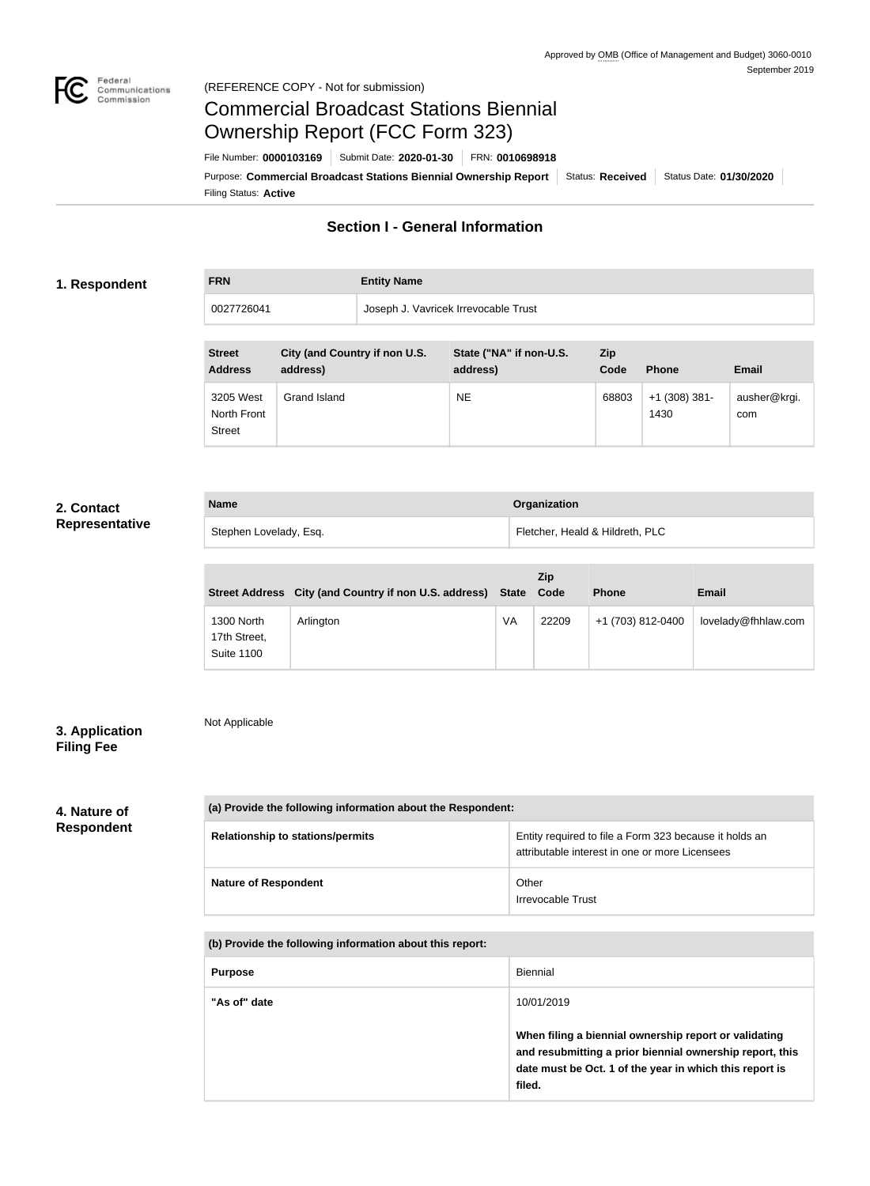

### Federal<br>Communications<br>Commission (REFERENCE COPY - Not for submission)

# Commercial Broadcast Stations Biennial Ownership Report (FCC Form 323)

Filing Status: **Active** Purpose: Commercial Broadcast Stations Biennial Ownership Report Status: Received Status Date: 01/30/2020 File Number: **0000103169** Submit Date: **2020-01-30** FRN: **0010698918**

# **Section I - General Information**

### **1. Respondent**

**FRN Entity Name**

0027726041 Joseph J. Vavricek Irrevocable Trust

| <b>Street</b><br><b>Address</b>           | City (and Country if non U.S.<br>address) | State ("NA" if non-U.S.<br>address) | Zip<br>Code | <b>Phone</b>            | <b>Email</b>        |
|-------------------------------------------|-------------------------------------------|-------------------------------------|-------------|-------------------------|---------------------|
| 3205 West<br>North Front<br><b>Street</b> | Grand Island                              | <b>NE</b>                           | 68803       | $+1$ (308) 381-<br>1430 | ausher@krgi.<br>com |

## **2. Contact Representative**

| <b>Name</b>            | Organization                    |
|------------------------|---------------------------------|
| Stephen Lovelady, Esq. | Fletcher, Heald & Hildreth, PLC |

|                                                 | Street Address City (and Country if non U.S. address) State |    | <b>Zip</b><br>Code | <b>Phone</b>      | <b>Email</b>        |
|-------------------------------------------------|-------------------------------------------------------------|----|--------------------|-------------------|---------------------|
| 1300 North<br>17th Street,<br><b>Suite 1100</b> | Arlington                                                   | VA | 22209              | +1 (703) 812-0400 | lovelady@fhhlaw.com |

# **3. Application Filing Fee**

Not Applicable

**4. Nature of Respondent** **(a) Provide the following information about the Respondent: Relationship to stations/permits Entity required to file a Form 323 because it holds an** attributable interest in one or more Licensees **Nature of Respondent Nature of Respondent C** Irrevocable Trust

**(b) Provide the following information about this report:**

| <b>Purpose</b> | Biennial                                                                                                                                                                               |
|----------------|----------------------------------------------------------------------------------------------------------------------------------------------------------------------------------------|
| "As of" date   | 10/01/2019                                                                                                                                                                             |
|                | When filing a biennial ownership report or validating<br>and resubmitting a prior biennial ownership report, this<br>date must be Oct. 1 of the year in which this report is<br>filed. |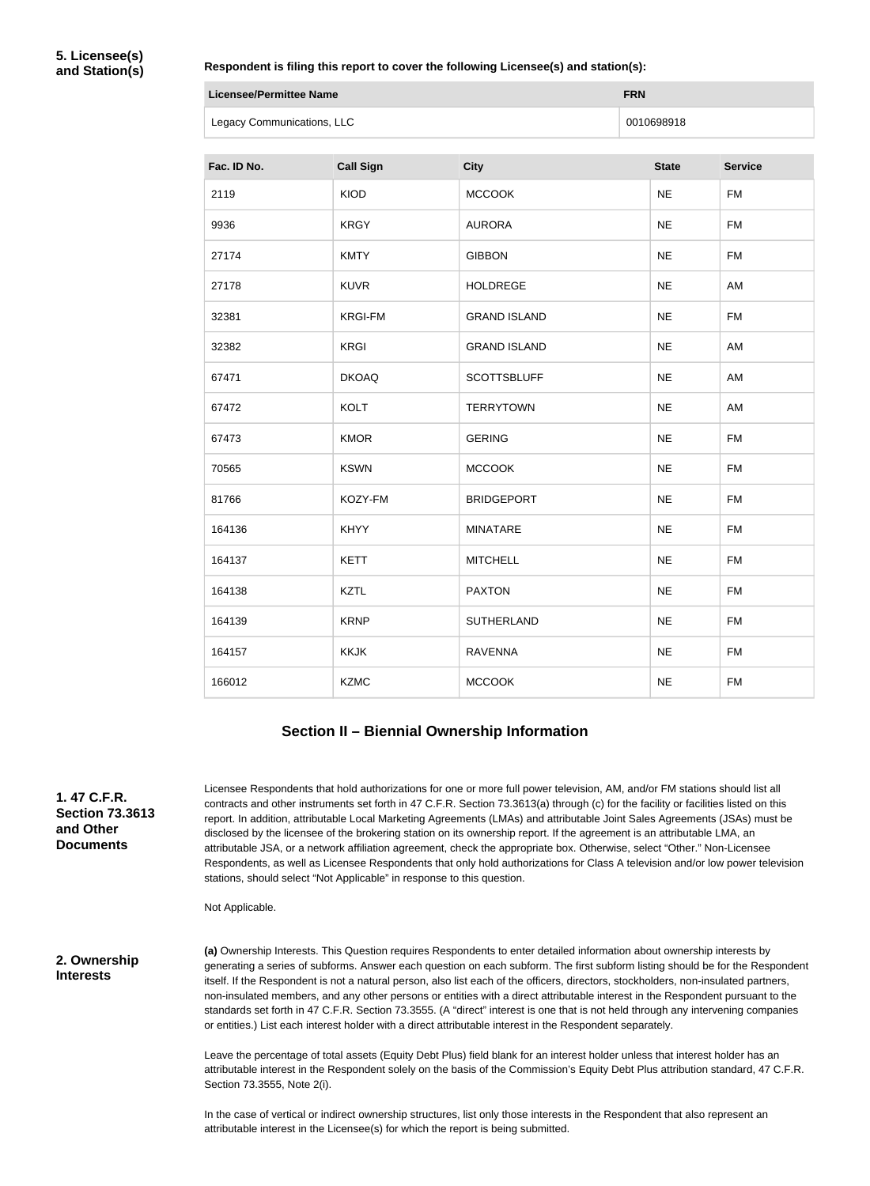### **Respondent is filing this report to cover the following Licensee(s) and station(s):**

| Licensee/Permittee Name    | <b>FRN</b> |
|----------------------------|------------|
| Legacy Communications, LLC | 0010698918 |

| Fac. ID No. | <b>Call Sign</b> | <b>City</b>         | <b>State</b> | <b>Service</b> |
|-------------|------------------|---------------------|--------------|----------------|
| 2119        | <b>KIOD</b>      | <b>MCCOOK</b>       | <b>NE</b>    | <b>FM</b>      |
| 9936        | <b>KRGY</b>      | <b>AURORA</b>       | <b>NE</b>    | <b>FM</b>      |
| 27174       | <b>KMTY</b>      | <b>GIBBON</b>       | <b>NE</b>    | <b>FM</b>      |
| 27178       | <b>KUVR</b>      | <b>HOLDREGE</b>     | <b>NE</b>    | AM             |
| 32381       | <b>KRGI-FM</b>   | <b>GRAND ISLAND</b> | <b>NE</b>    | <b>FM</b>      |
| 32382       | <b>KRGI</b>      | <b>GRAND ISLAND</b> | <b>NE</b>    | AM             |
| 67471       | <b>DKOAQ</b>     | <b>SCOTTSBLUFF</b>  | <b>NE</b>    | AM             |
| 67472       | <b>KOLT</b>      | <b>TERRYTOWN</b>    | <b>NE</b>    | AM             |
| 67473       | <b>KMOR</b>      | <b>GERING</b>       | <b>NE</b>    | <b>FM</b>      |
| 70565       | <b>KSWN</b>      | <b>MCCOOK</b>       | <b>NE</b>    | <b>FM</b>      |
| 81766       | KOZY-FM          | <b>BRIDGEPORT</b>   | <b>NE</b>    | <b>FM</b>      |
| 164136      | <b>KHYY</b>      | <b>MINATARE</b>     | <b>NE</b>    | <b>FM</b>      |
| 164137      | <b>KETT</b>      | <b>MITCHELL</b>     | <b>NE</b>    | <b>FM</b>      |
| 164138      | <b>KZTL</b>      | <b>PAXTON</b>       | <b>NE</b>    | <b>FM</b>      |
| 164139      | <b>KRNP</b>      | <b>SUTHERLAND</b>   | <b>NE</b>    | <b>FM</b>      |
| 164157      | <b>KKJK</b>      | <b>RAVENNA</b>      | <b>NE</b>    | <b>FM</b>      |
| 166012      | <b>KZMC</b>      | <b>MCCOOK</b>       | <b>NE</b>    | <b>FM</b>      |

### **Section II – Biennial Ownership Information**

**1. 47 C.F.R. Section 73.3613 and Other Documents**

Licensee Respondents that hold authorizations for one or more full power television, AM, and/or FM stations should list all contracts and other instruments set forth in 47 C.F.R. Section 73.3613(a) through (c) for the facility or facilities listed on this report. In addition, attributable Local Marketing Agreements (LMAs) and attributable Joint Sales Agreements (JSAs) must be disclosed by the licensee of the brokering station on its ownership report. If the agreement is an attributable LMA, an attributable JSA, or a network affiliation agreement, check the appropriate box. Otherwise, select "Other." Non-Licensee Respondents, as well as Licensee Respondents that only hold authorizations for Class A television and/or low power television stations, should select "Not Applicable" in response to this question.

Not Applicable.

**2. Ownership Interests**

**(a)** Ownership Interests. This Question requires Respondents to enter detailed information about ownership interests by generating a series of subforms. Answer each question on each subform. The first subform listing should be for the Respondent itself. If the Respondent is not a natural person, also list each of the officers, directors, stockholders, non-insulated partners, non-insulated members, and any other persons or entities with a direct attributable interest in the Respondent pursuant to the standards set forth in 47 C.F.R. Section 73.3555. (A "direct" interest is one that is not held through any intervening companies or entities.) List each interest holder with a direct attributable interest in the Respondent separately.

Leave the percentage of total assets (Equity Debt Plus) field blank for an interest holder unless that interest holder has an attributable interest in the Respondent solely on the basis of the Commission's Equity Debt Plus attribution standard, 47 C.F.R. Section 73.3555, Note 2(i).

In the case of vertical or indirect ownership structures, list only those interests in the Respondent that also represent an attributable interest in the Licensee(s) for which the report is being submitted.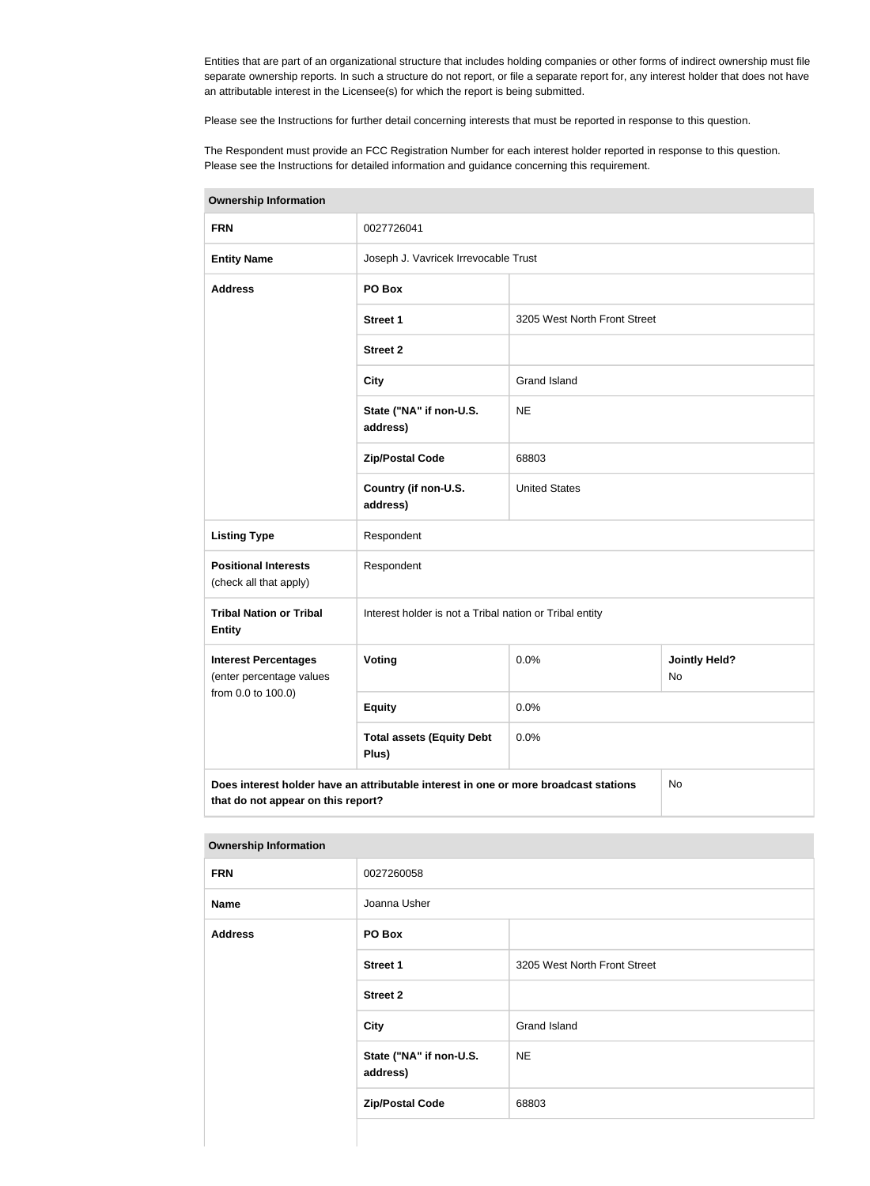Entities that are part of an organizational structure that includes holding companies or other forms of indirect ownership must file separate ownership reports. In such a structure do not report, or file a separate report for, any interest holder that does not have an attributable interest in the Licensee(s) for which the report is being submitted.

Please see the Instructions for further detail concerning interests that must be reported in response to this question.

The Respondent must provide an FCC Registration Number for each interest holder reported in response to this question. Please see the Instructions for detailed information and guidance concerning this requirement.

| <b>Ownership Information</b>                                                                                                     |                                                         |                              |                            |  |
|----------------------------------------------------------------------------------------------------------------------------------|---------------------------------------------------------|------------------------------|----------------------------|--|
| <b>FRN</b>                                                                                                                       | 0027726041                                              |                              |                            |  |
| <b>Entity Name</b>                                                                                                               | Joseph J. Vavricek Irrevocable Trust                    |                              |                            |  |
| <b>Address</b>                                                                                                                   | PO Box                                                  |                              |                            |  |
|                                                                                                                                  | <b>Street 1</b>                                         | 3205 West North Front Street |                            |  |
|                                                                                                                                  | <b>Street 2</b>                                         |                              |                            |  |
|                                                                                                                                  | <b>City</b>                                             | <b>Grand Island</b>          |                            |  |
|                                                                                                                                  | State ("NA" if non-U.S.<br>address)                     | <b>NE</b>                    |                            |  |
|                                                                                                                                  | <b>Zip/Postal Code</b>                                  | 68803                        |                            |  |
|                                                                                                                                  | Country (if non-U.S.<br>address)                        | <b>United States</b>         |                            |  |
| <b>Listing Type</b>                                                                                                              | Respondent                                              |                              |                            |  |
| <b>Positional Interests</b><br>(check all that apply)                                                                            | Respondent                                              |                              |                            |  |
| <b>Tribal Nation or Tribal</b><br><b>Entity</b>                                                                                  | Interest holder is not a Tribal nation or Tribal entity |                              |                            |  |
| <b>Interest Percentages</b><br>(enter percentage values                                                                          | Voting                                                  | 0.0%                         | <b>Jointly Held?</b><br>No |  |
| from 0.0 to 100.0)                                                                                                               | <b>Equity</b>                                           | 0.0%                         |                            |  |
|                                                                                                                                  | <b>Total assets (Equity Debt</b><br>Plus)               | 0.0%                         |                            |  |
| Does interest holder have an attributable interest in one or more broadcast stations<br>No<br>that do not appear on this report? |                                                         |                              |                            |  |

**Ownership Information**

|  | <b>Ownership Information</b> |
|--|------------------------------|

| <b>FRN</b>     | 0027260058                          |                              |
|----------------|-------------------------------------|------------------------------|
| <b>Name</b>    | Joanna Usher                        |                              |
| <b>Address</b> | PO Box                              |                              |
|                | <b>Street 1</b>                     | 3205 West North Front Street |
|                | <b>Street 2</b>                     |                              |
|                | City                                | <b>Grand Island</b>          |
|                | State ("NA" if non-U.S.<br>address) | <b>NE</b>                    |
|                | <b>Zip/Postal Code</b>              | 68803                        |
|                |                                     |                              |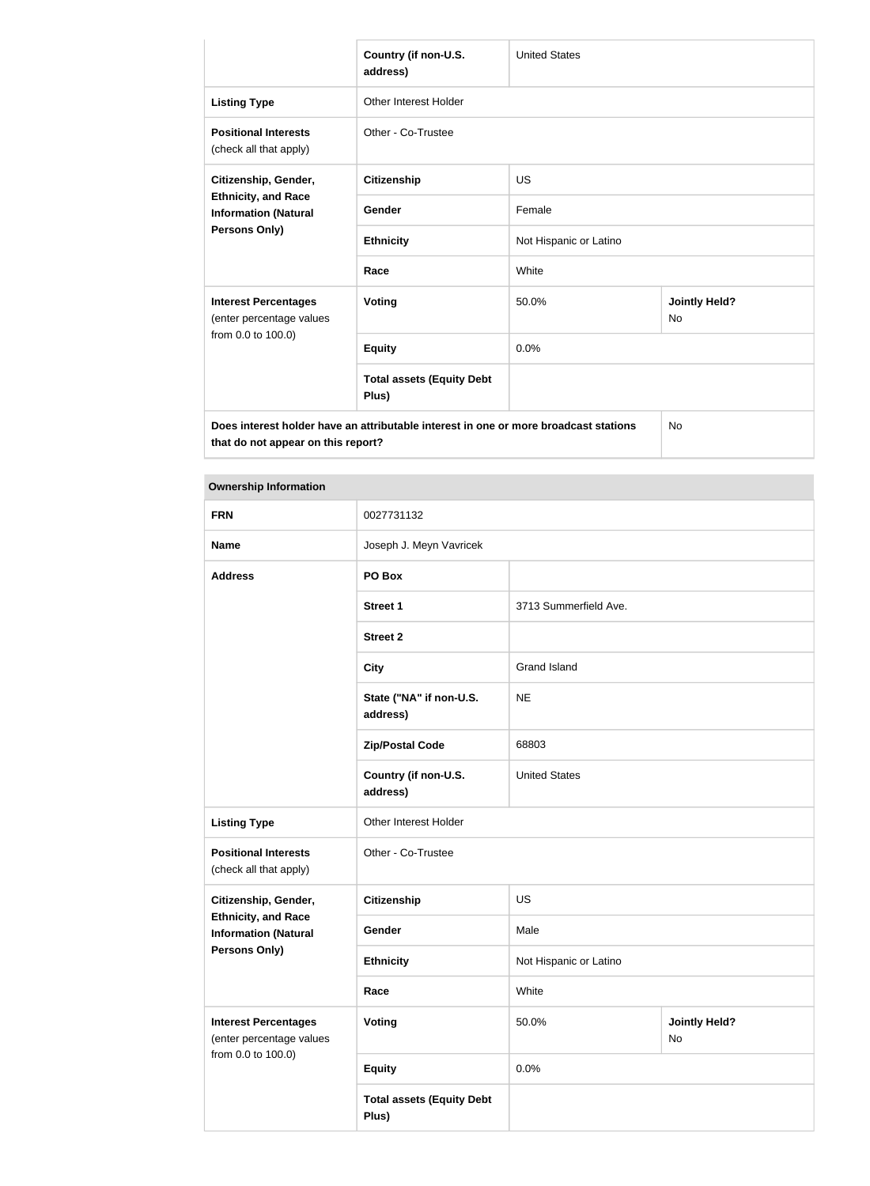|                                                                                                                            | Country (if non-U.S.<br>address)          | <b>United States</b>   |                                   |  |
|----------------------------------------------------------------------------------------------------------------------------|-------------------------------------------|------------------------|-----------------------------------|--|
| <b>Listing Type</b>                                                                                                        | <b>Other Interest Holder</b>              |                        |                                   |  |
| <b>Positional Interests</b><br>(check all that apply)                                                                      | Other - Co-Trustee                        |                        |                                   |  |
| Citizenship, Gender,                                                                                                       | Citizenship                               | <b>US</b>              |                                   |  |
| <b>Ethnicity, and Race</b><br><b>Information (Natural</b>                                                                  | Gender                                    | Female                 |                                   |  |
| <b>Persons Only)</b>                                                                                                       | <b>Ethnicity</b>                          | Not Hispanic or Latino |                                   |  |
|                                                                                                                            | Race                                      | White                  |                                   |  |
| <b>Interest Percentages</b><br>(enter percentage values                                                                    | <b>Voting</b>                             | 50.0%                  | <b>Jointly Held?</b><br><b>No</b> |  |
| from 0.0 to 100.0)                                                                                                         | <b>Equity</b>                             | 0.0%                   |                                   |  |
|                                                                                                                            | <b>Total assets (Equity Debt</b><br>Plus) |                        |                                   |  |
| Does interest holder have an attributable interest in one or more broadcast stations<br>that do not appear on this report? |                                           |                        | No                                |  |

### **Ownership Information**

| <b>FRN</b>                                                | 0027731132                                |                        |                            |  |
|-----------------------------------------------------------|-------------------------------------------|------------------------|----------------------------|--|
| <b>Name</b>                                               | Joseph J. Meyn Vavricek                   |                        |                            |  |
| <b>Address</b>                                            | PO Box                                    |                        |                            |  |
|                                                           | <b>Street 1</b>                           | 3713 Summerfield Ave.  |                            |  |
|                                                           | <b>Street 2</b>                           |                        |                            |  |
|                                                           | <b>City</b>                               | <b>Grand Island</b>    |                            |  |
|                                                           | State ("NA" if non-U.S.<br>address)       | <b>NE</b>              |                            |  |
|                                                           | <b>Zip/Postal Code</b>                    | 68803                  |                            |  |
|                                                           | Country (if non-U.S.<br>address)          | <b>United States</b>   |                            |  |
| <b>Listing Type</b>                                       | Other Interest Holder                     |                        |                            |  |
| <b>Positional Interests</b><br>(check all that apply)     | Other - Co-Trustee                        |                        |                            |  |
| Citizenship, Gender,                                      | <b>Citizenship</b>                        | <b>US</b>              |                            |  |
| <b>Ethnicity, and Race</b><br><b>Information (Natural</b> | Gender                                    | Male                   |                            |  |
| <b>Persons Only)</b>                                      | <b>Ethnicity</b>                          | Not Hispanic or Latino |                            |  |
|                                                           | Race                                      | White                  |                            |  |
| <b>Interest Percentages</b><br>(enter percentage values   | <b>Voting</b>                             | 50.0%                  | <b>Jointly Held?</b><br>No |  |
| from 0.0 to 100.0)                                        | <b>Equity</b>                             | 0.0%                   |                            |  |
|                                                           | <b>Total assets (Equity Debt</b><br>Plus) |                        |                            |  |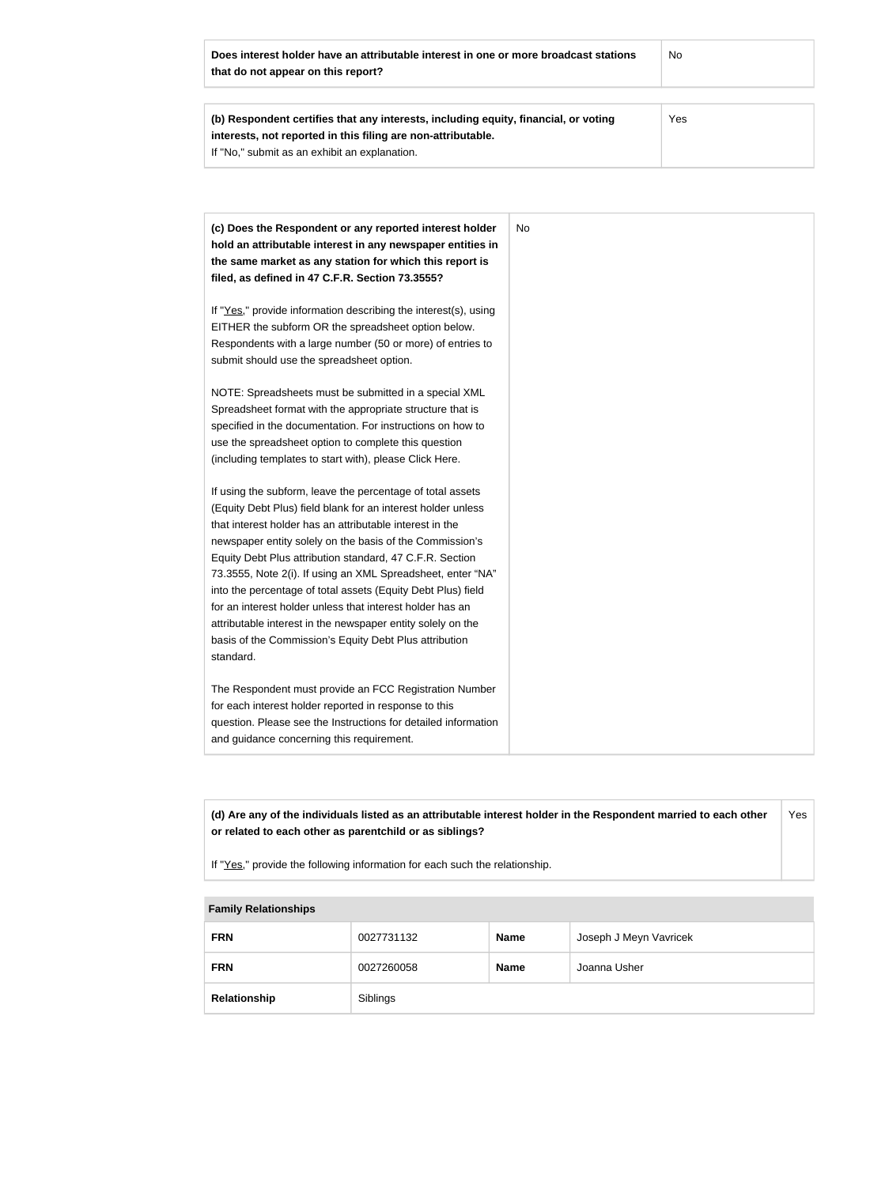| Does interest holder have an attributable interest in one or more broadcast stations<br>that do not appear on this report? | No  |
|----------------------------------------------------------------------------------------------------------------------------|-----|
|                                                                                                                            |     |
| (b) Respondent certifies that any interests, including equity, financial, or voting                                        | Yes |
| interests, not reported in this filing are non-attributable.                                                               |     |
| If "No," submit as an exhibit an explanation.                                                                              |     |

| (c) Does the Respondent or any reported interest holder<br>hold an attributable interest in any newspaper entities in<br>the same market as any station for which this report is<br>filed, as defined in 47 C.F.R. Section 73.3555?                                                                                                                                                                                                                                                                                                                                                                                                              | No. |
|--------------------------------------------------------------------------------------------------------------------------------------------------------------------------------------------------------------------------------------------------------------------------------------------------------------------------------------------------------------------------------------------------------------------------------------------------------------------------------------------------------------------------------------------------------------------------------------------------------------------------------------------------|-----|
| If "Yes," provide information describing the interest(s), using<br>EITHER the subform OR the spreadsheet option below.<br>Respondents with a large number (50 or more) of entries to<br>submit should use the spreadsheet option.                                                                                                                                                                                                                                                                                                                                                                                                                |     |
| NOTE: Spreadsheets must be submitted in a special XML<br>Spreadsheet format with the appropriate structure that is<br>specified in the documentation. For instructions on how to<br>use the spreadsheet option to complete this question<br>(including templates to start with), please Click Here.                                                                                                                                                                                                                                                                                                                                              |     |
| If using the subform, leave the percentage of total assets<br>(Equity Debt Plus) field blank for an interest holder unless<br>that interest holder has an attributable interest in the<br>newspaper entity solely on the basis of the Commission's<br>Equity Debt Plus attribution standard, 47 C.F.R. Section<br>73.3555, Note 2(i). If using an XML Spreadsheet, enter "NA"<br>into the percentage of total assets (Equity Debt Plus) field<br>for an interest holder unless that interest holder has an<br>attributable interest in the newspaper entity solely on the<br>basis of the Commission's Equity Debt Plus attribution<br>standard. |     |
| The Respondent must provide an FCC Registration Number<br>for each interest holder reported in response to this<br>question. Please see the Instructions for detailed information<br>and guidance concerning this requirement.                                                                                                                                                                                                                                                                                                                                                                                                                   |     |

**(d) Are any of the individuals listed as an attributable interest holder in the Respondent married to each other or related to each other as parentchild or as siblings?** Yes

If "Yes," provide the following information for each such the relationship.

## **Family Relationships**

| <b>FRN</b>   | 0027731132 | <b>Name</b> | Joseph J Meyn Vavricek |
|--------------|------------|-------------|------------------------|
| <b>FRN</b>   | 0027260058 | <b>Name</b> | Joanna Usher           |
| Relationship | Siblings   |             |                        |